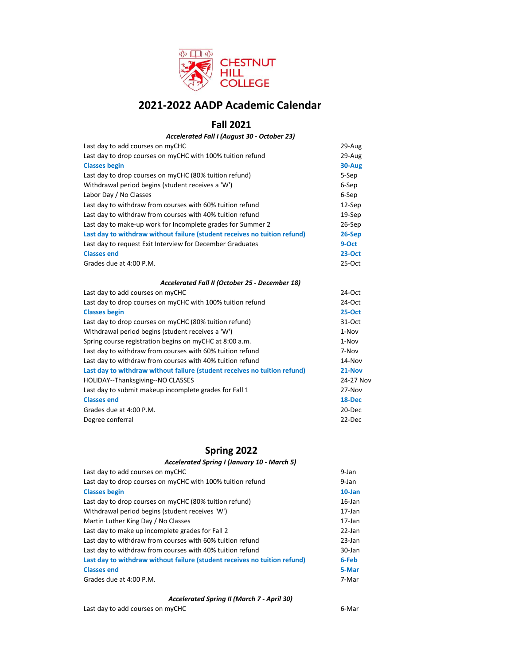

# **2021-2022 AADP Academic Calendar**

# **Fall 2021**

## Last day to add courses on myCHC 29-Aug 29-Aug 29-Aug 29-Aug 29-Aug 29-Aug 29-Aug 29-Aug 29-Aug 29-Aug 29-Aug 29-Aug 2012 Last day to drop courses on myCHC with 100% tuition refund 29-Aug **Classes begin 30-Aug** Last day to drop courses on myCHC (80% tuition refund) 5-Sep Withdrawal period begins (student receives a 'W') 6-Sep Labor Day / No Classes 6-Sep Last day to withdraw from courses with 60% tuition refund 12 = 12-Sep Last day to withdraw from courses with 40% tuition refund 19-Sep Last day to make-up work for Incomplete grades for Summer 2 26-Sep **Last day to withdraw without failure (student receives no tuition refund) 26-Sep** Last day to request Exit Interview for December Graduates **9-Oct Classes end 23-Oct** Grades due at 4:00 P.M. 25-Oct Last day to add courses on myCHC 24-Oct 24-Oct 24-Oct 25 Last day to drop courses on myCHC with 100% tuition refund 24-Oct **Classes begin 25-Oct** Last day to drop courses on myCHC (80% tuition refund) 31-Oct Withdrawal period begins (student receives a 'W') 1-Nov Spring course registration begins on myCHC at 8:00 a.m. 1-Nov Last day to withdraw from courses with 60% tuition refund 7-Nov Last day to withdraw from courses with 40% tuition refund 14 and 14-Nov **Last day to withdraw without failure (student receives no tuition refund) 21-Nov** HOLIDAY--Thanksgiving--NO CLASSES 24-27 Nov Last day to submit makeup incomplete grades for Fall 1 27-Nov **Classes end 18-Dec** Grades due at 4:00 P.M. 20 and 20 and 20 and 20 and 20 and 20 and 20 and 20 and 20 and 20 and 20 and 20 and 20 Degree conferral 22-Dec *Accelerated Fall I (August 30 - October 23) Accelerated Fall II (October 25 - December 18)*

## **Spring 2022**

#### *Accelerated Spring I (January 10 - March 5)*

| Last day to add courses on myCHC                                          | 9-Jan     |
|---------------------------------------------------------------------------|-----------|
| Last day to drop courses on myCHC with 100% tuition refund                | 9-Jan     |
| <b>Classes begin</b>                                                      | $10$ -Jan |
| Last day to drop courses on myCHC (80% tuition refund)                    | $16$ -Jan |
| Withdrawal period begins (student receives 'W')                           | $17$ -Jan |
| Martin Luther King Day / No Classes                                       | $17$ -Jan |
| Last day to make up incomplete grades for Fall 2                          | 22-Jan    |
| Last day to withdraw from courses with 60% tuition refund                 | $23$ -Jan |
| Last day to withdraw from courses with 40% tuition refund                 | 30-Jan    |
| Last day to withdraw without failure (student receives no tuition refund) | 6-Feb     |
| <b>Classes end</b>                                                        | 5-Mar     |
| Grades due at 4:00 P.M.                                                   | 7-Mar     |

#### *Accelerated Spring II (March 7 - April 30)*

## Last day to add courses on myCHC 6-Mar